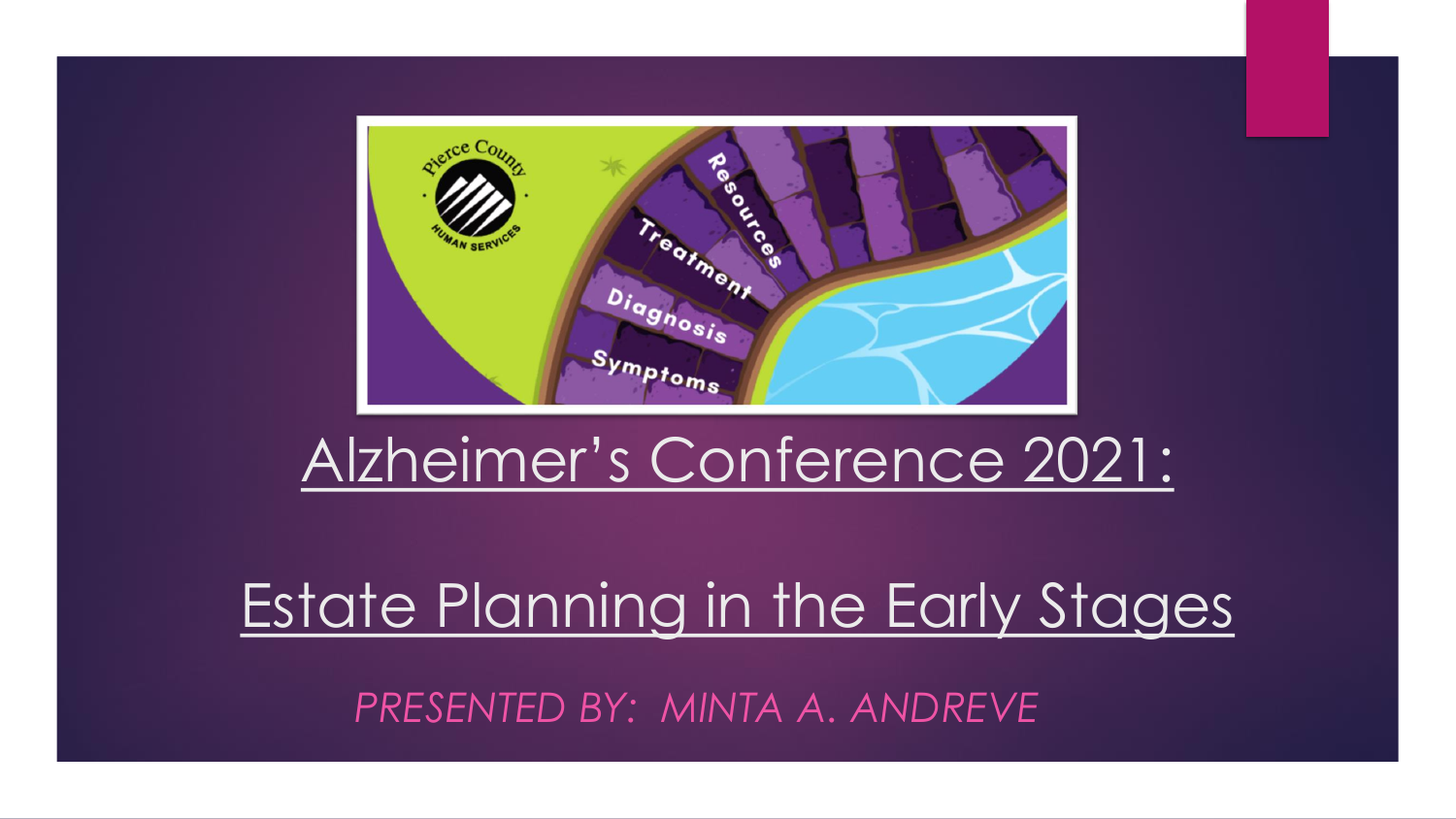

#### Alzheimer's Conference 2021:

#### Estate Planning in the Early Stages *PRESENTED BY: MINTA A. ANDREVE*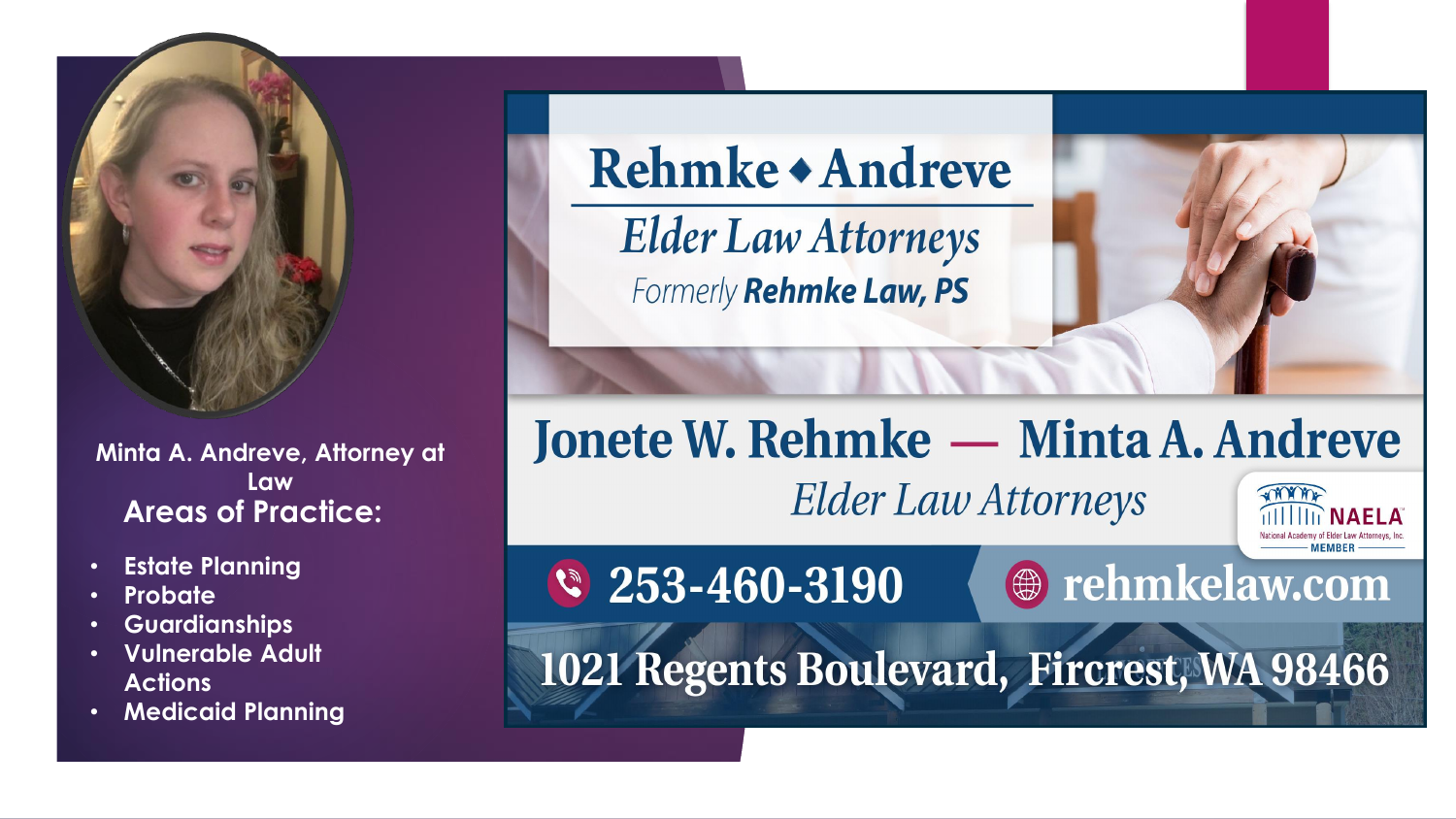

**Minta A. Andreve, Attorney at Law Areas of Practice:**

- **Estate Planning**
- **Probate**
- **Guardianships**
- **Vulnerable Adult Actions**
- **Medicaid Planning**

Rehmke + Andreve

**Elder Law Attorneys** Formerly Rehmke Law, PS

#### Jonete W. Rehmke — Minta A. Andreve

**Elder Law Attorneys** 

**@** rehmkelaw.com

**THAMP** 

 $\sqrt{253-460-3190}$ 

1021 Regents Boulevard, Fircrest, WA 98466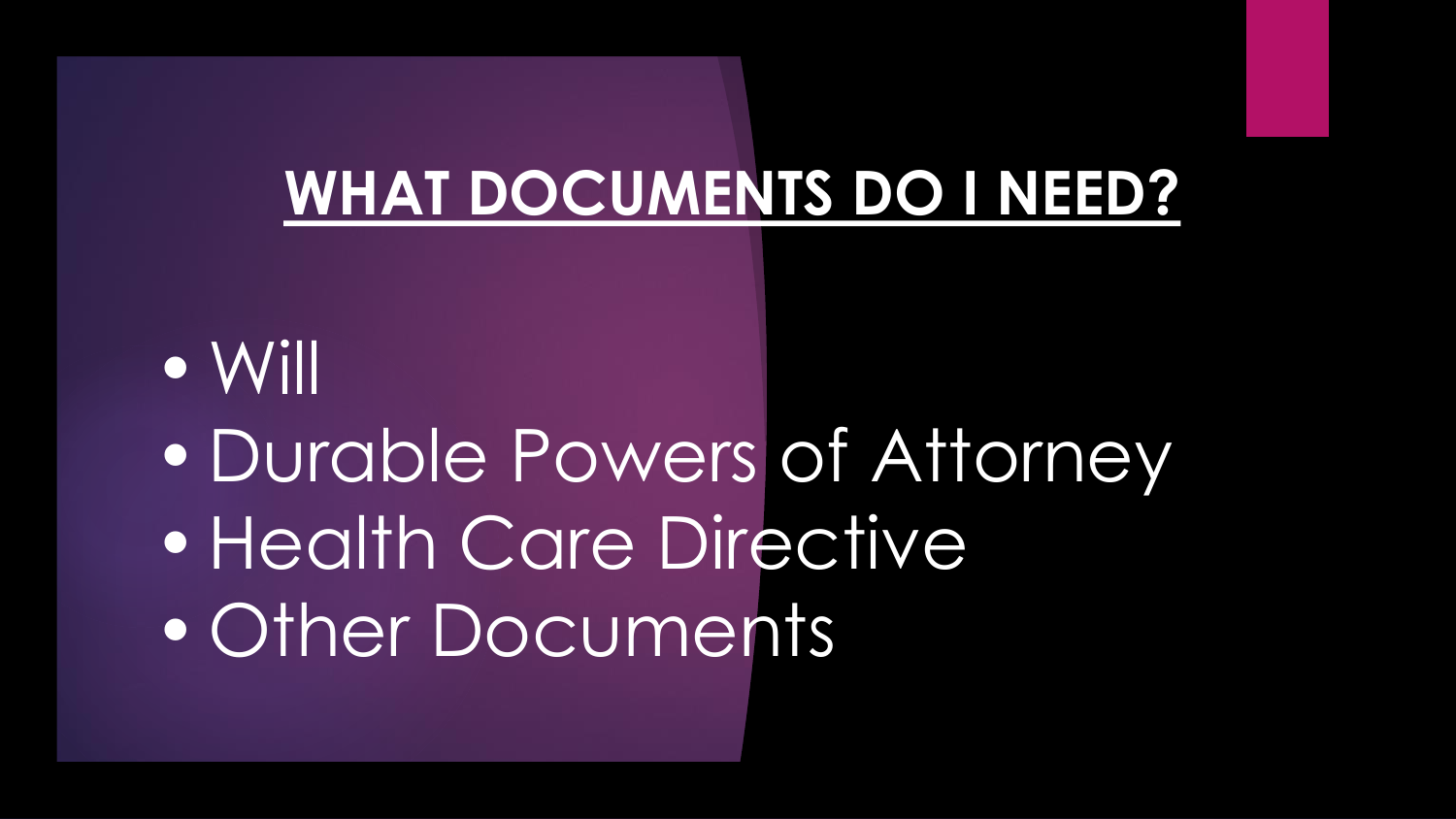#### **WHAT DOCUMENTS DO I NEED?**

•Will • Durable Powers of Attorney • Health Care Directive •Other Documents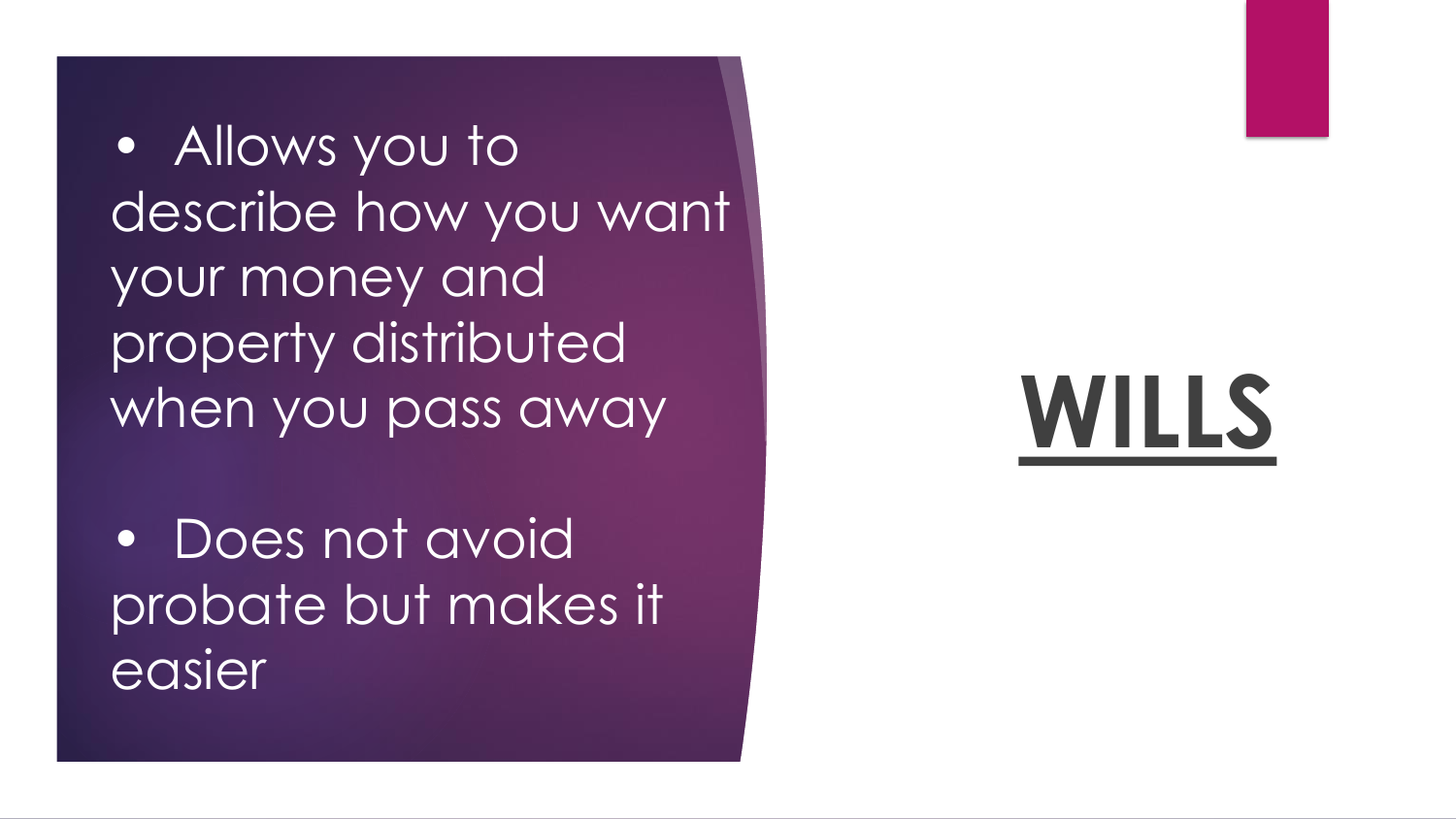• Allows you to describe how you want your money and property distributed when you pass away

• Does not avoid probate but makes it easier

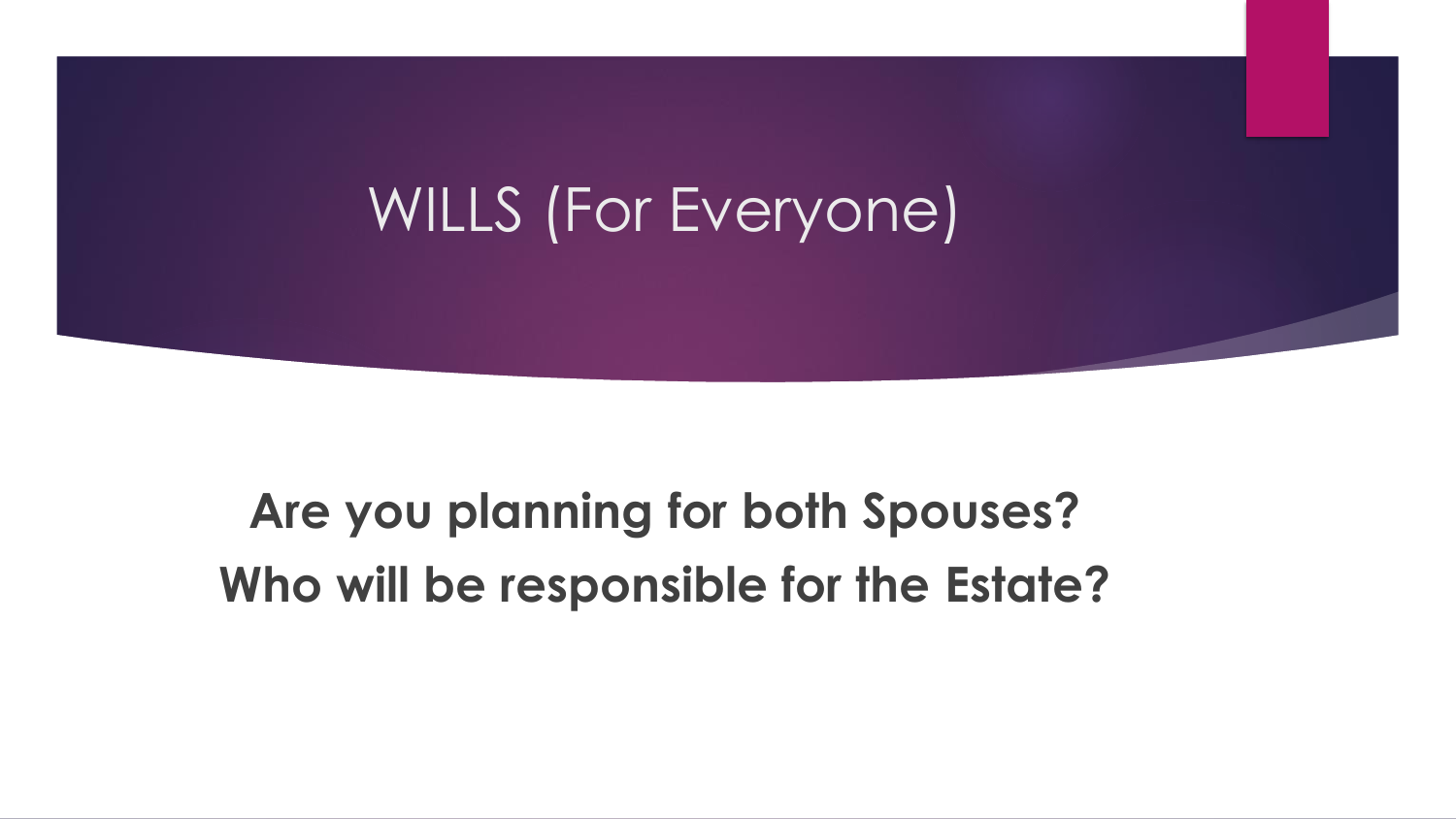#### WILLS (For Everyone)

**Are you planning for both Spouses? Who will be responsible for the Estate?**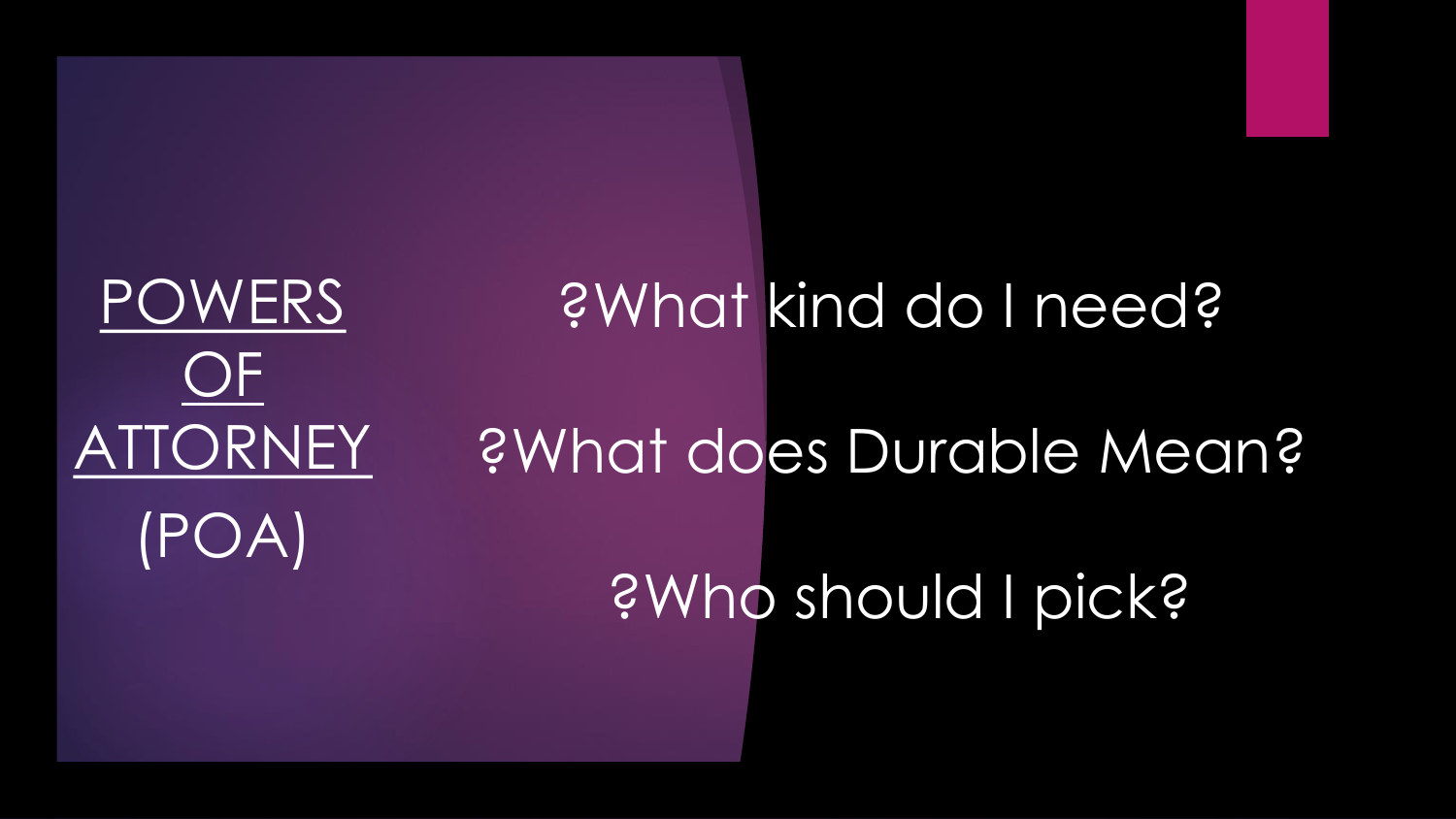### POWERS OF ATTORNEY (POA)

## ?What kind do I need? ?What does Durable Mean? ?Who should I pick?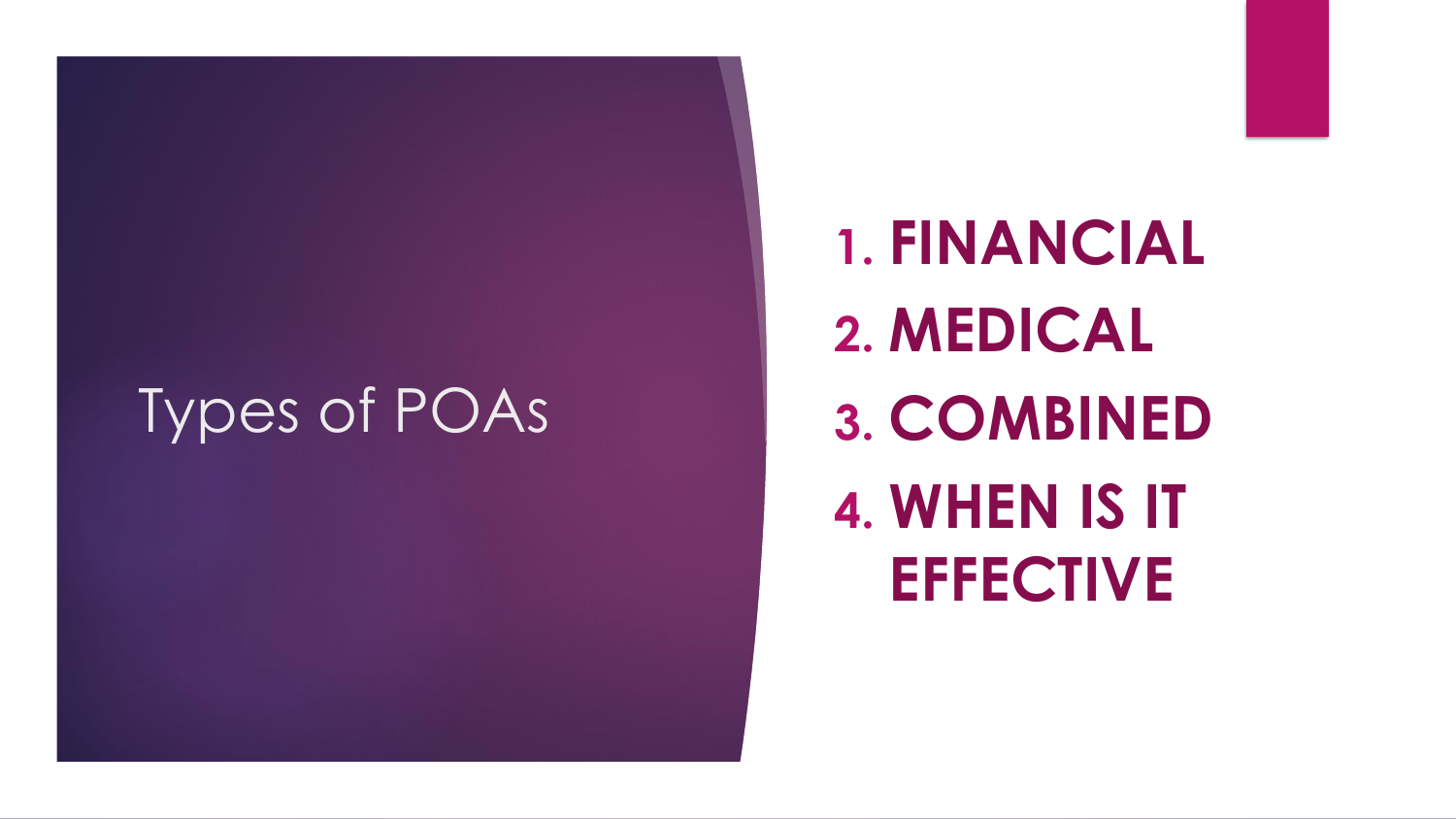#### Types of POAs

**1. FINANCIAL 2. MEDICAL 3. COMBINED 4. WHEN IS IT EFFECTIVE**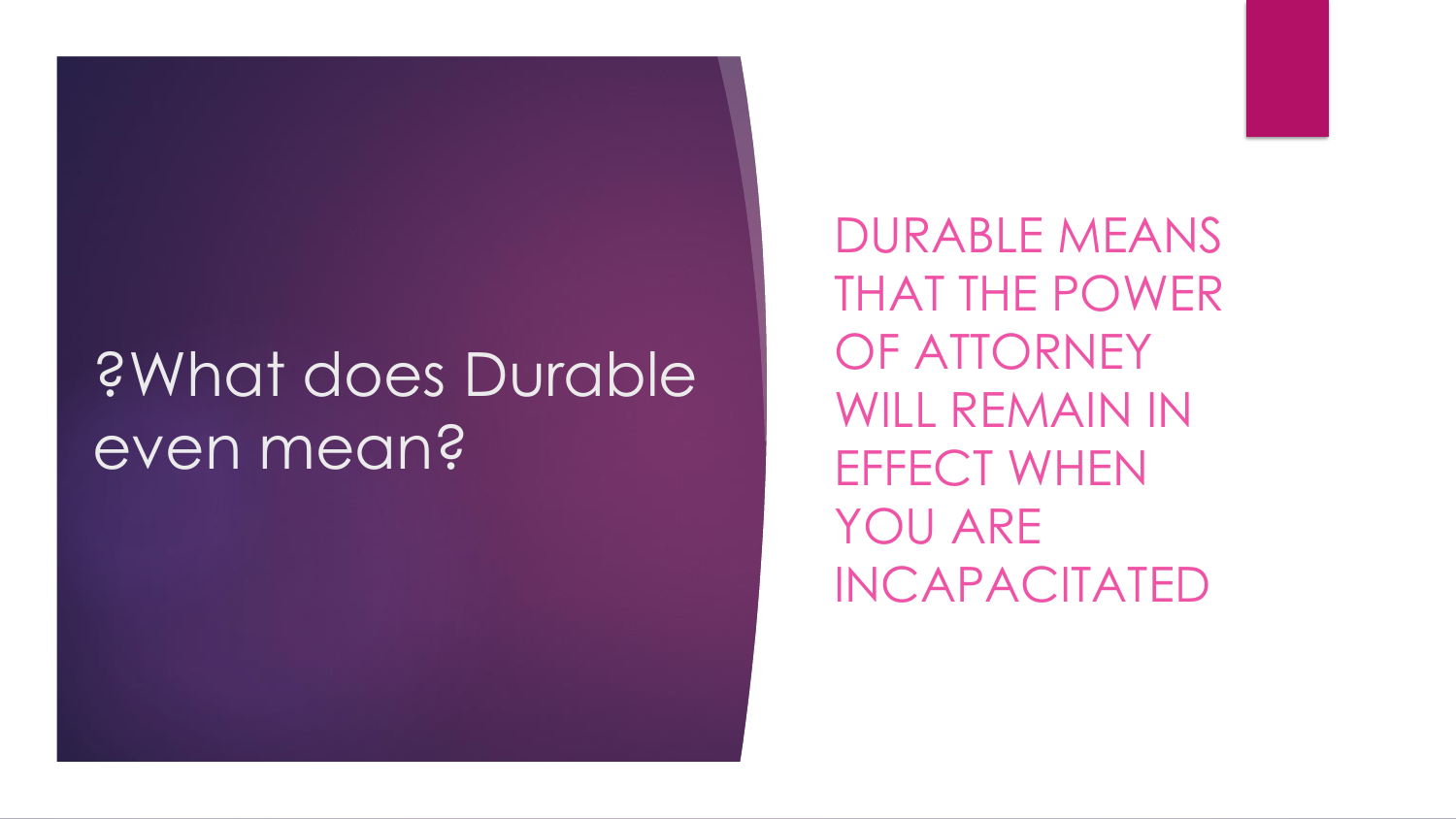#### ?What does Durable even mean?

DURABLE MEANS THAT THE POWER OF ATTORNEY WILL REMAIN IN EFFECT WHEN YOU ARE INCAPACITATED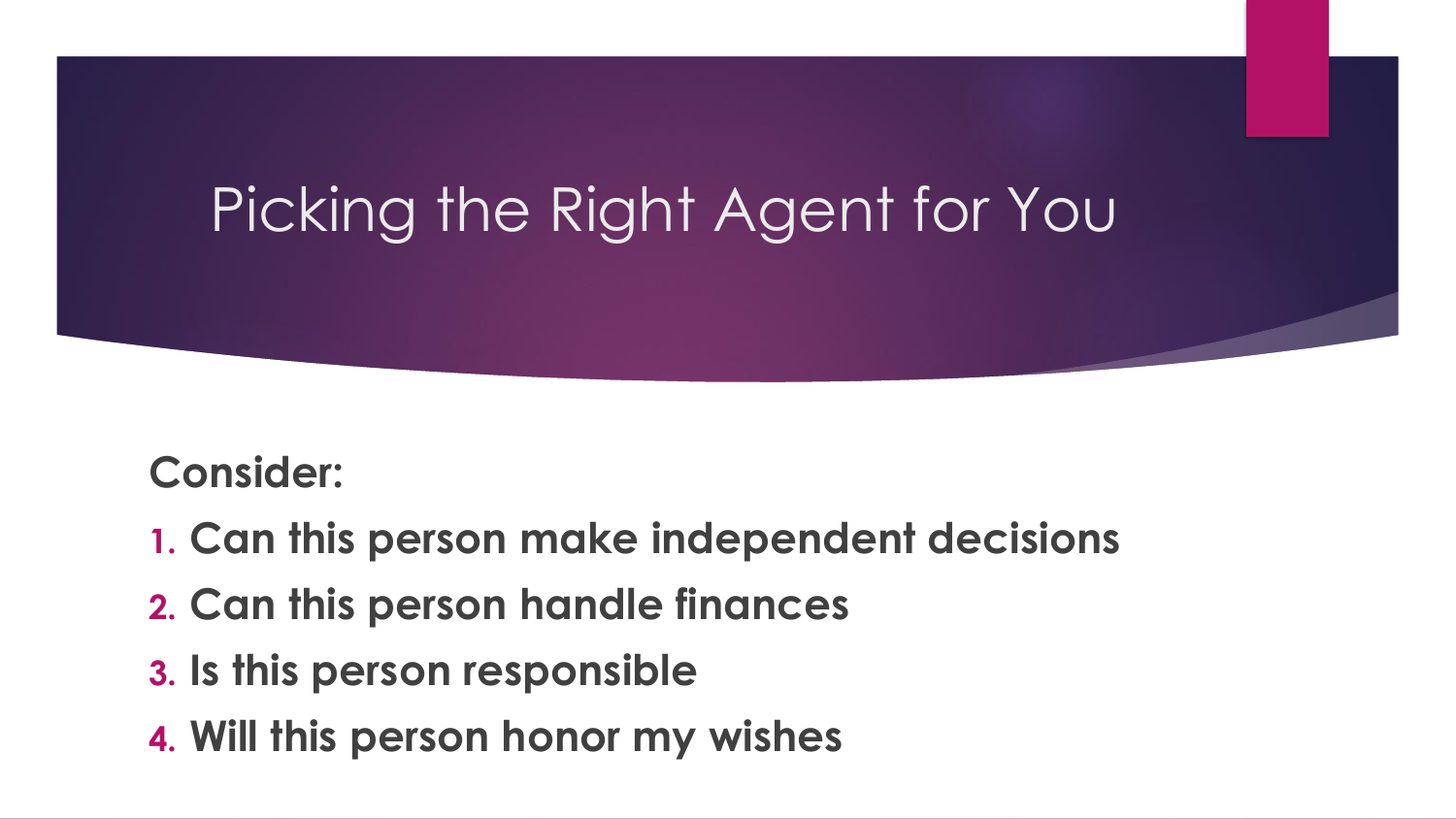#### Picking the Right Agent for You

#### **Consider:**

- **1. Can this person make independent decisions**
- **2. Can this person handle finances**
- **3. Is this person responsible**
- **4. Will this person honor my wishes**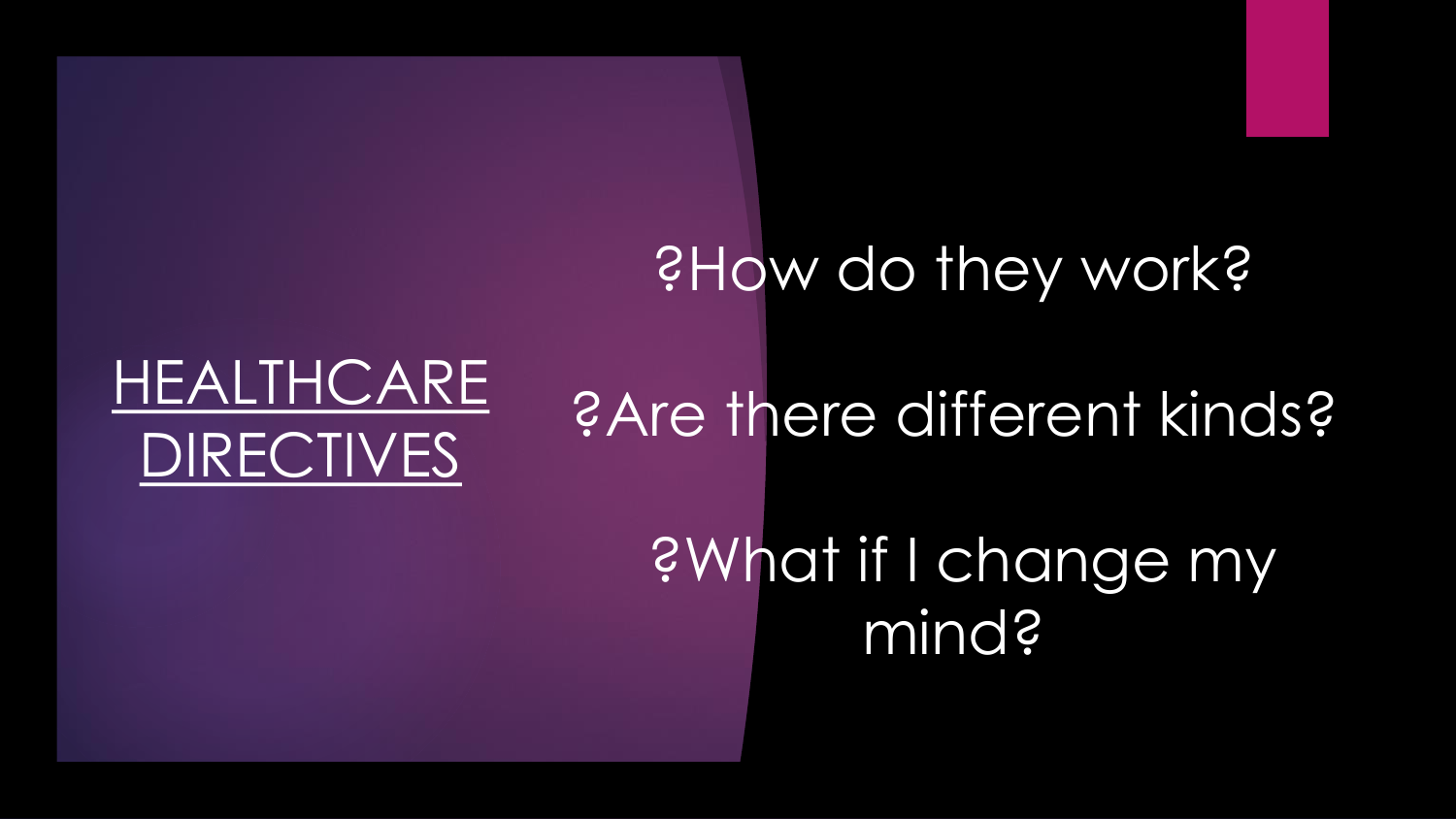# ?How do they work? ?Are there different kinds?

HEALTHCARE

DIRECTIVES

?What if I change my mind?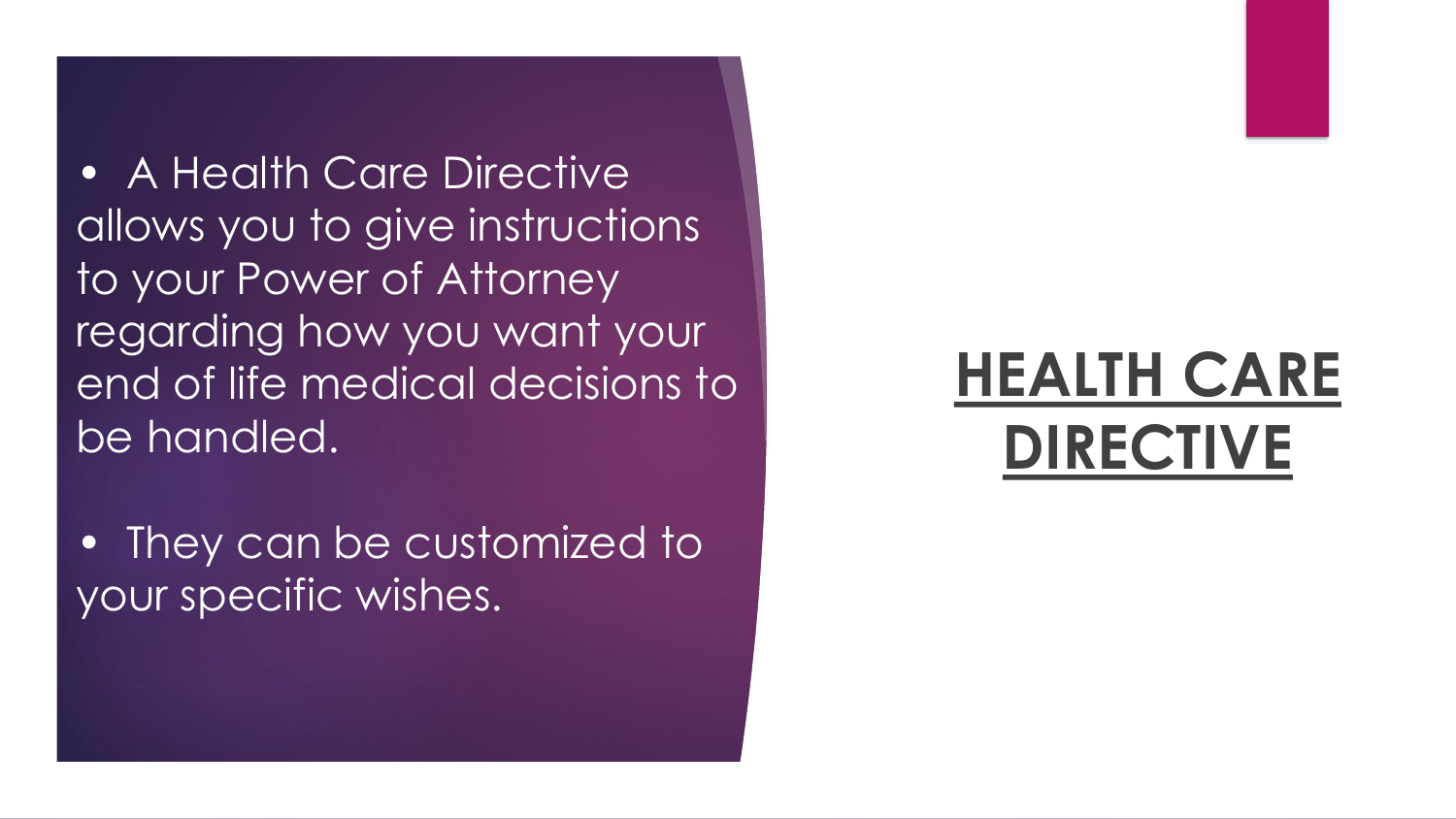**• A Health Care Directive** allows you to give instructions to your Power of Attorney regarding how you want your end of life medical decisions to be handled.

• They can be customized to your specific wishes.

#### **HEALTH CARE DIRECTIVE**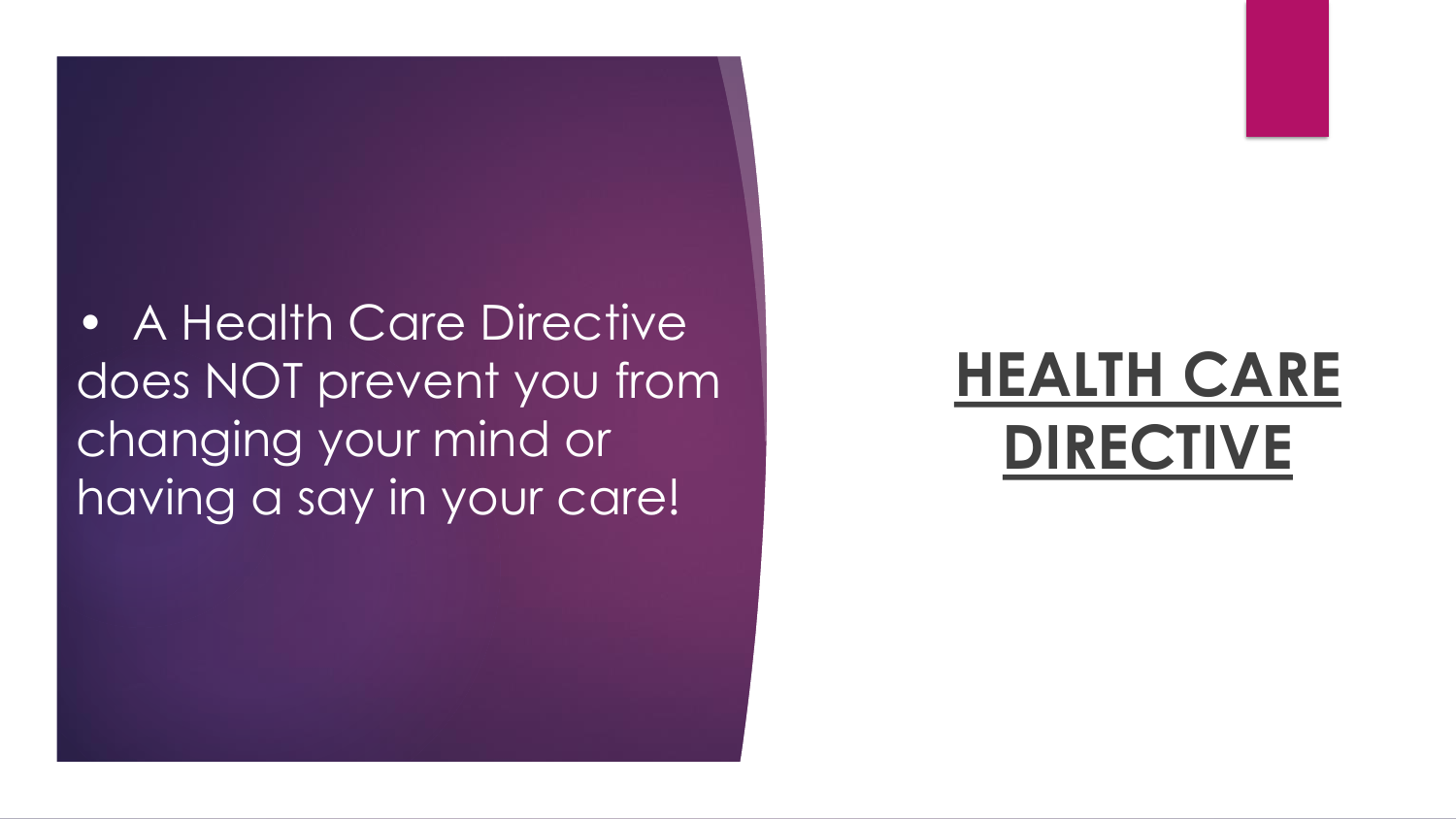• A Health Care Directive does NOT prevent you from changing your mind or having a say in your care!

#### **HEALTH CARE DIRECTIVE**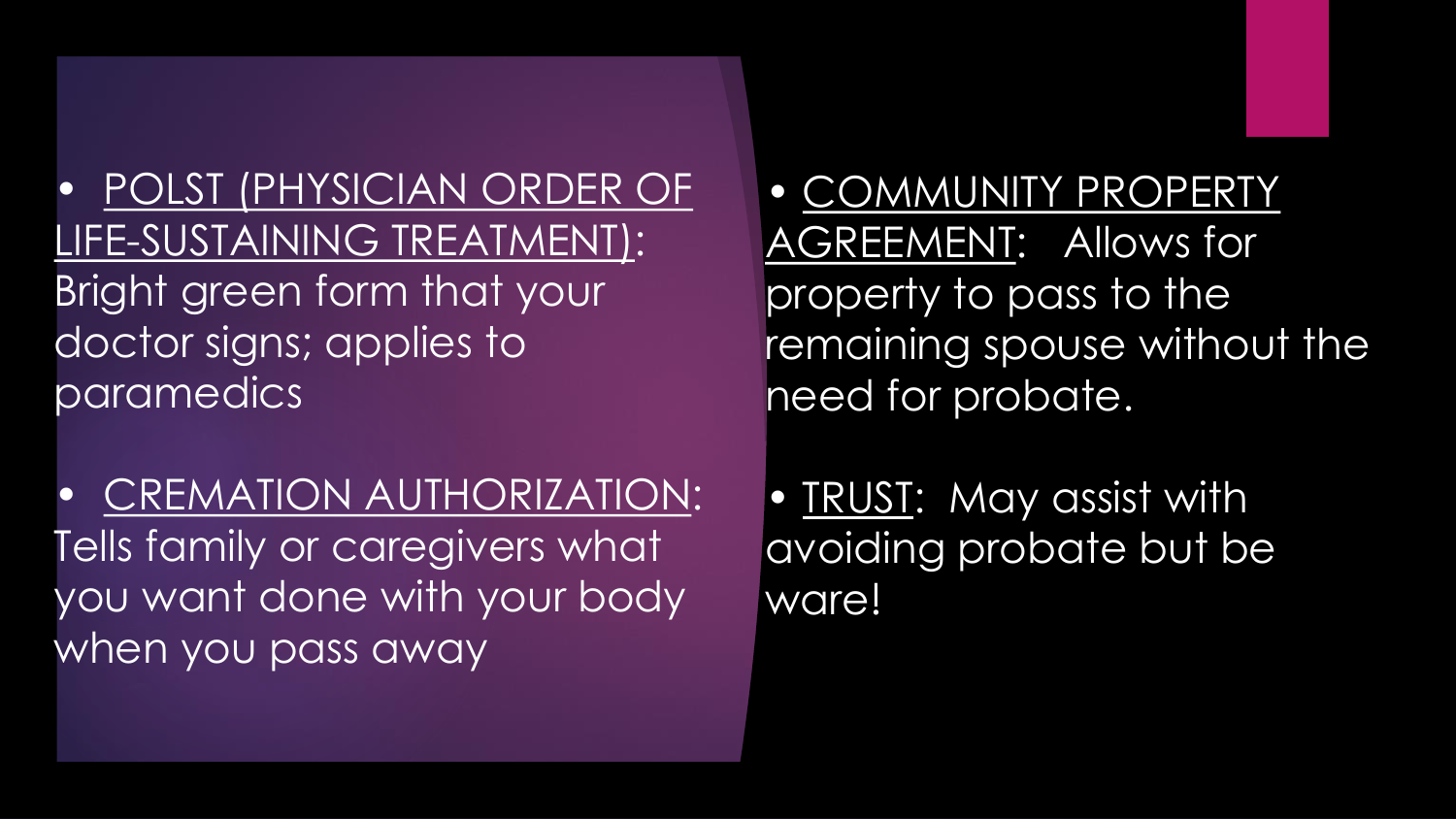• POLST (PHYSICIAN ORDER OF LIFE-SUSTAINING TREATMENT): Bright green form that your doctor signs; applies to paramedics

• CREMATION AUTHORIZATION: Tells family or caregivers what you want done with your body when you pass away

• COMMUNITY PROPERTY AGREEMENT: Allows for property to pass to the remaining spouse without the need for probate.

• TRUST: May assist with avoiding probate but be ware!